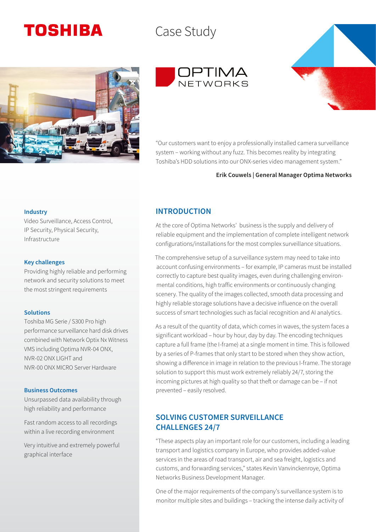## **TOSHIBA**

## Case Study







"Our customers want to enjoy a professionally installed camera surveillance system – working without any fuzz. This becomes reality by integrating Toshiba's HDD solutions into our ONX-series video management system."

### Erik Couwels | General Manager Optima Networks

## Industry

Video Surveillance, Access Control, IP Security, Physical Security, Infrastructure

## Key challenges

Providing highly reliable and performing network and security solutions to meet the most stringent requirements

### Solutions

Toshiba MG Serie / S300 Pro high performance surveillance hard disk drives combined with Network Optix Nx Witness VMS including Optima NVR-04 ONX, NVR-02 ONX LIGHT and NVR-00 ONX MICRO Server Hardware

## Business Outcomes

Unsurpassed data availability through high reliability and performance

Fast random access to all recordings within a live recording environment

Very intuitive and extremely powerful graphical interface

## INTRODUCTION

At the core of Optima Networks' business is the supply and delivery of reliable equipment and the implementation of complete intelligent network configurations/installations for the most complex surveillance situations.

The comprehensive setup of a surveillance system may need to take into account confusing environments – for example, IP cameras must be installed correctly to capture best quality images, even during challenging environmental conditions, high traffic environments or continuously changing scenery. The quality of the images collected, smooth data processing and highly reliable storage solutions have a decisive influence on the overall success of smart technologies such as facial recognition and AI analytics.

As a result of the quantity of data, which comes in waves, the system faces a significant workload – hour by hour, day by day. The encoding techniques capture a full frame (the I-frame) at a single moment in time. This is followed by a series of P-frames that only start to be stored when they show action, showing a difference in image in relation to the previous I-frame. The storage solution to support this must work extremely reliably 24/7, storing the incoming pictures at high quality so that theft or damage can be – if not prevented – easily resolved.

## SOLVING CUSTOMER SURVEILLANCE CHALLENGES 24/7

"These aspects play an important role for our customers, including a leading transport and logistics company in Europe, who provides added-value services in the areas of road transport, air and sea freight, logistics and customs, and forwarding services," states Kevin Vanvinckenroye, Optima Networks Business Development Manager.

One of the major requirements of the company's surveillance system is to monitor multiple sites and buildings – tracking the intense daily activity of